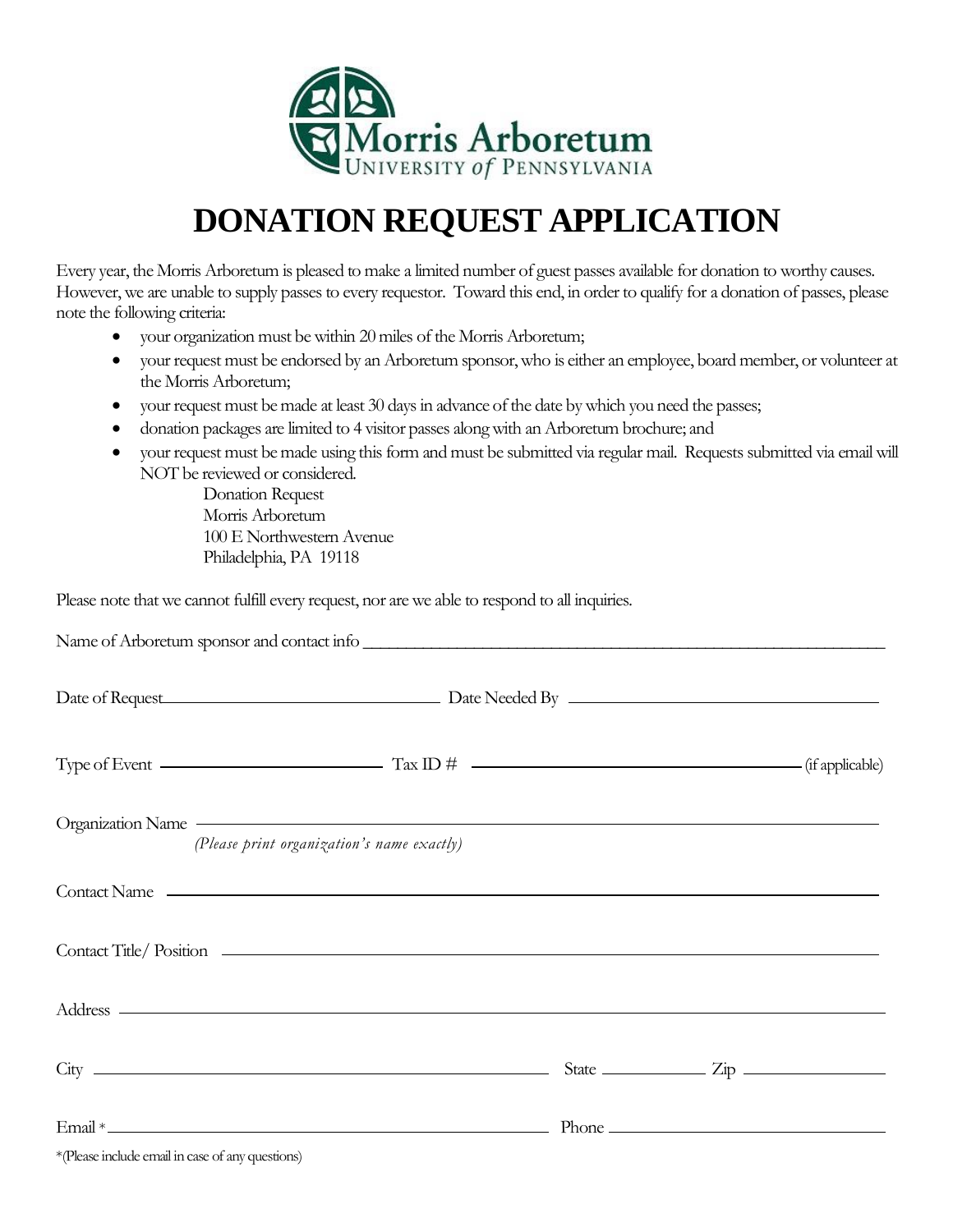

## **DONATION REQUEST APPLICATION**

Every year, the Morris Arboretum is pleased to make a limited number of guest passes available for donation to worthy causes. However, we are unable to supply passes to every requestor. Toward this end, in order to qualify for a donation of passes, please note the following criteria:

- your organization must be within 20 miles of the Morris Arboretum;
- your request must be endorsed by an Arboretum sponsor, who is either an employee, board member, or volunteer at the Morris Arboretum;
- your request must be made at least 30 days in advance of the date by which you need the passes;
- donation packages are limited to 4 visitor passes along with an Arboretum brochure; and
- your request must be made using this form and must be submitted via regular mail. Requests submitted via email will NOT be reviewed or considered.

Donation Request Morris Arboretum 100 E Northwestern Avenue Philadelphia, PA 19118

Please note that we cannot fulfill every request, nor are we able to respond to all inquiries.

|                                                  | Name of Arboretum sponsor and contact info                                                                                                                                                                                                                                  |  |  |
|--------------------------------------------------|-----------------------------------------------------------------------------------------------------------------------------------------------------------------------------------------------------------------------------------------------------------------------------|--|--|
|                                                  |                                                                                                                                                                                                                                                                             |  |  |
|                                                  | Type of Event $\frac{1}{\text{Tr}(x)}$ Tax ID $\# \frac{1}{\text{Tr}(x)}$ Tax ID $\frac{1}{\text{Tr}(x)}$                                                                                                                                                                   |  |  |
|                                                  | Organization Name experience and the contract of the contract of the contract of the contract of the contract of the contract of the contract of the contract of the contract of the contract of the contract of the contract<br>(Please print organization's name exactly) |  |  |
|                                                  |                                                                                                                                                                                                                                                                             |  |  |
|                                                  |                                                                                                                                                                                                                                                                             |  |  |
|                                                  | Address and the contract of the contract of the contract of the contract of the contract of the contract of the contract of the contract of the contract of the contract of the contract of the contract of the contract of th                                              |  |  |
|                                                  | $City$ $\qquad \qquad \qquad$ State $\qquad \qquad$ $Zip$ $\qquad \qquad$                                                                                                                                                                                                   |  |  |
|                                                  |                                                                                                                                                                                                                                                                             |  |  |
| *(Please include email in case of any questions) |                                                                                                                                                                                                                                                                             |  |  |